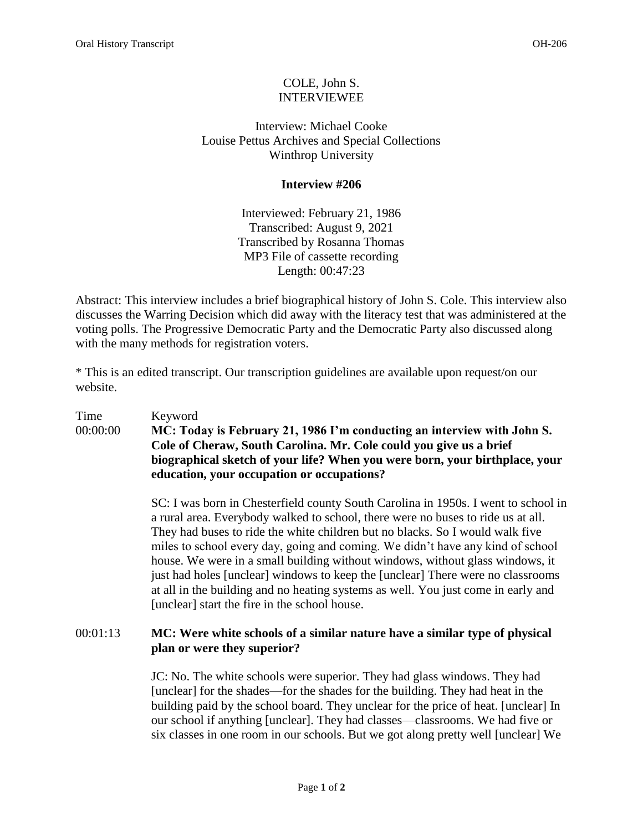## COLE, John S. INTERVIEWEE

Interview: Michael Cooke Louise Pettus Archives and Special Collections Winthrop University

## **Interview #206**

Interviewed: February 21, 1986 Transcribed: August 9, 2021 Transcribed by Rosanna Thomas MP3 File of cassette recording Length: 00:47:23

Abstract: This interview includes a brief biographical history of John S. Cole. This interview also discusses the Warring Decision which did away with the literacy test that was administered at the voting polls. The Progressive Democratic Party and the Democratic Party also discussed along with the many methods for registration voters.

\* This is an edited transcript. Our transcription guidelines are available upon request/on our website.

## Time Keyword 00:00:00 **MC: Today is February 21, 1986 I'm conducting an interview with John S. Cole of Cheraw, South Carolina. Mr. Cole could you give us a brief biographical sketch of your life? When you were born, your birthplace, your education, your occupation or occupations?**

SC: I was born in Chesterfield county South Carolina in 1950s. I went to school in a rural area. Everybody walked to school, there were no buses to ride us at all. They had buses to ride the white children but no blacks. So I would walk five miles to school every day, going and coming. We didn't have any kind of school house. We were in a small building without windows, without glass windows, it just had holes [unclear] windows to keep the [unclear] There were no classrooms at all in the building and no heating systems as well. You just come in early and [unclear] start the fire in the school house.

## 00:01:13 **MC: Were white schools of a similar nature have a similar type of physical plan or were they superior?**

JC: No. The white schools were superior. They had glass windows. They had [unclear] for the shades—for the shades for the building. They had heat in the building paid by the school board. They unclear for the price of heat. [unclear] In our school if anything [unclear]. They had classes—classrooms. We had five or six classes in one room in our schools. But we got along pretty well [unclear] We